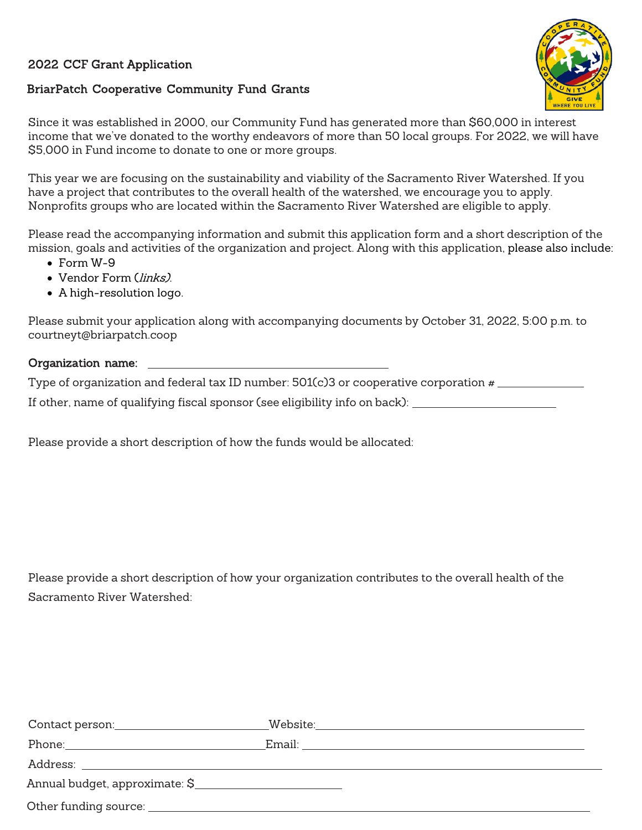#### 2022 CCF Grant Application

#### BriarPatch Cooperative Community Fund Grants



Since it was established in 2000, our Community Fund has generated more than \$60,000 in interest income that we've donated to the worthy endeavors of more than 50 local groups. For 2022, we will have \$5,000 in Fund income to donate to one or more groups.

This year we are focusing on the sustainability and viability of the Sacramento River Watershed. If you have a project that contributes to the overall health of the watershed, we encourage you to apply. Nonprofits groups who are located within the Sacramento River Watershed are eligible to apply.

Please read the accompanying information and submit this application form and a short description of the mission, goals and activities of the organization and project. Along with this application, please also include:

- Form W-9
- Vendor Form (links).
- A high-resolution logo.

Please submit your application along with accompanying documents by October 31, 2022, 5:00 p.m. to [courtneyt@briarpatch.coop](mailto:courtneyt@briarpatch.coop) 

#### Organization name:

Type of organization and federal tax ID number:  $501(c)3$  or cooperative corporation  $\#$ 

If other, name of qualifying fiscal sponsor (see eligibility info on back):

Please provide a short description of how the funds would be allocated:

Please provide a short description of how your organization contributes to the overall health of the Sacramento River Watershed:

| Annual budget, approximate: \$ |  |
|--------------------------------|--|
|                                |  |